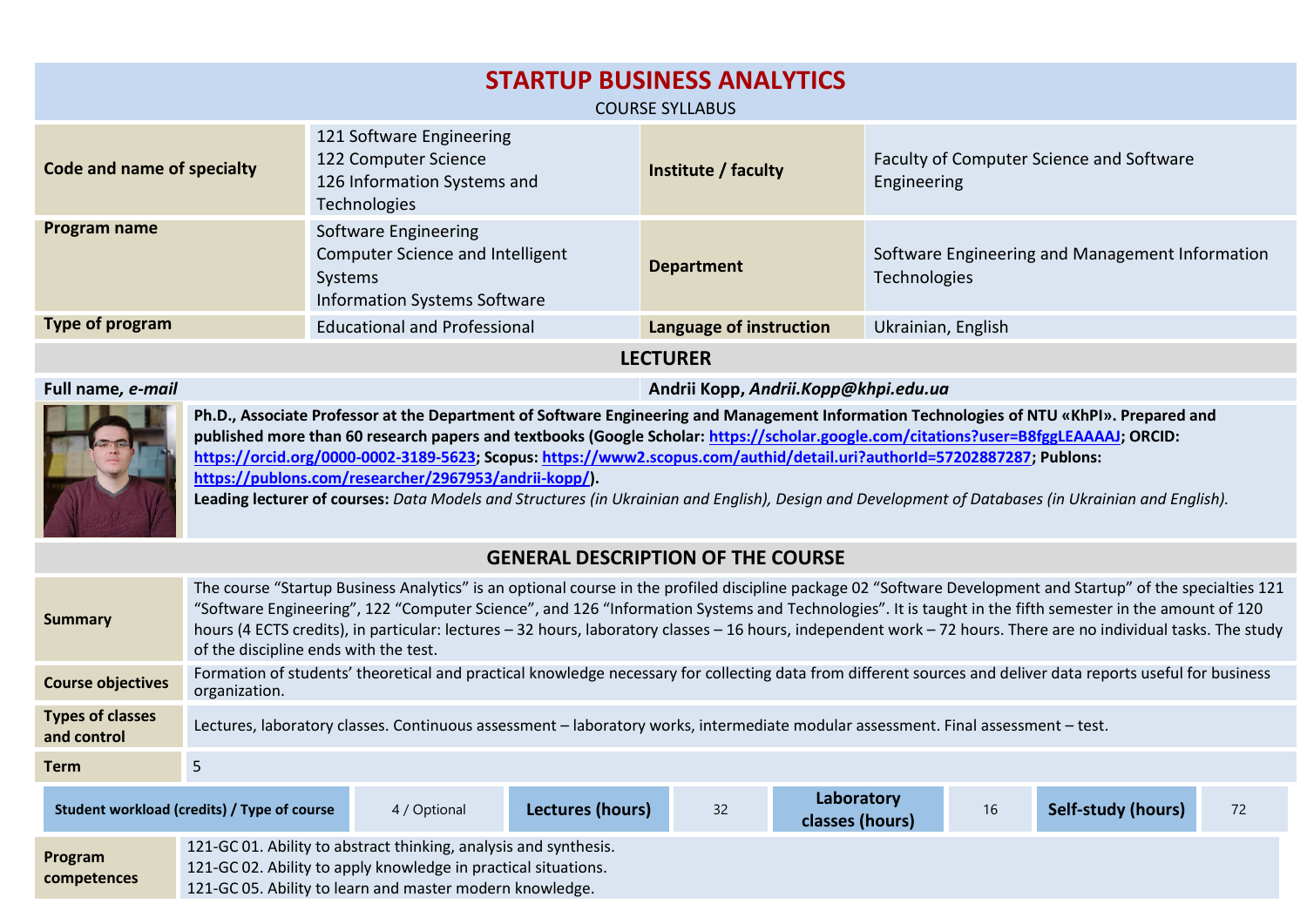| <b>STARTUP BUSINESS ANALYTICS</b><br><b>COURSE SYLLABUS</b> |                                                                                                            |                         |                                                                 |  |  |  |  |  |
|-------------------------------------------------------------|------------------------------------------------------------------------------------------------------------|-------------------------|-----------------------------------------------------------------|--|--|--|--|--|
| Code and name of specialty                                  | 121 Software Engineering<br>122 Computer Science<br>126 Information Systems and<br><b>Technologies</b>     | Institute / faculty     | Faculty of Computer Science and Software<br>Engineering         |  |  |  |  |  |
| Program name                                                | Software Engineering<br>Computer Science and Intelligent<br>Systems<br><b>Information Systems Software</b> | <b>Department</b>       | Software Engineering and Management Information<br>Technologies |  |  |  |  |  |
| Type of program                                             | <b>Educational and Professional</b>                                                                        | Language of instruction | Ukrainian, English                                              |  |  |  |  |  |
| <b>LECTURER</b>                                             |                                                                                                            |                         |                                                                 |  |  |  |  |  |

**Full name***, e-mail* **Andrii Kopp,** *Andrii.Kopp@khpi.edu.ua*



**Ph.D., Associate Professor at the Department of Software Engineering and Management Information Technologies of NTU «KhPI». Prepared and published more than 60 research papers and textbooks (Google Scholar[: https://scholar.google.com/citations?user=B8fggLEAAAAJ;](https://scholar.google.com/citations?user=B8fggLEAAAAJ) ORCID: [https://orcid.org/0000-0002-3189-5623;](https://orcid.org/0000-0002-3189-5623) Scopus: [https://www2.scopus.com/authid/detail.uri?authorId=57202887287;](https://www2.scopus.com/authid/detail.uri?authorId=57202887287) Publons: [https://publons.com/researcher/2967953/andrii-kopp/\)](https://publons.com/researcher/2967953/andrii-kopp/).**

**Leading lecturer of courses:** *Data Models and Structures (in Ukrainian and English), Design and Development of Databases (in Ukrainian and English).*

## **GENERAL DESCRIPTION OF THE COURSE**

| <b>Summary</b>                         | The course "Startup Business Analytics" is an optional course in the profiled discipline package 02 "Software Development and Startup" of the specialties 121<br>"Software Engineering", 122 "Computer Science", and 126 "Information Systems and Technologies". It is taught in the fifth semester in the amount of 120<br>hours (4 ECTS credits), in particular: lectures - 32 hours, laboratory classes - 16 hours, independent work - 72 hours. There are no individual tasks. The study<br>of the discipline ends with the test. |              |                  |    |                               |    |                    |    |  |  |
|----------------------------------------|---------------------------------------------------------------------------------------------------------------------------------------------------------------------------------------------------------------------------------------------------------------------------------------------------------------------------------------------------------------------------------------------------------------------------------------------------------------------------------------------------------------------------------------|--------------|------------------|----|-------------------------------|----|--------------------|----|--|--|
| <b>Course objectives</b>               | Formation of students' theoretical and practical knowledge necessary for collecting data from different sources and deliver data reports useful for business<br>organization.                                                                                                                                                                                                                                                                                                                                                         |              |                  |    |                               |    |                    |    |  |  |
| <b>Types of classes</b><br>and control | Lectures, laboratory classes. Continuous assessment - laboratory works, intermediate modular assessment. Final assessment - test.                                                                                                                                                                                                                                                                                                                                                                                                     |              |                  |    |                               |    |                    |    |  |  |
| <b>Term</b>                            | 5                                                                                                                                                                                                                                                                                                                                                                                                                                                                                                                                     |              |                  |    |                               |    |                    |    |  |  |
|                                        | Student workload (credits) / Type of course                                                                                                                                                                                                                                                                                                                                                                                                                                                                                           | 4 / Optional | Lectures (hours) | 32 | Laboratory<br>classes (hours) | 16 | Self-study (hours) | 72 |  |  |
| Program<br>competences                 | 121-GC 01. Ability to abstract thinking, analysis and synthesis.<br>121-GC 02. Ability to apply knowledge in practical situations.<br>121-GC 05. Ability to learn and master modern knowledge.                                                                                                                                                                                                                                                                                                                                        |              |                  |    |                               |    |                    |    |  |  |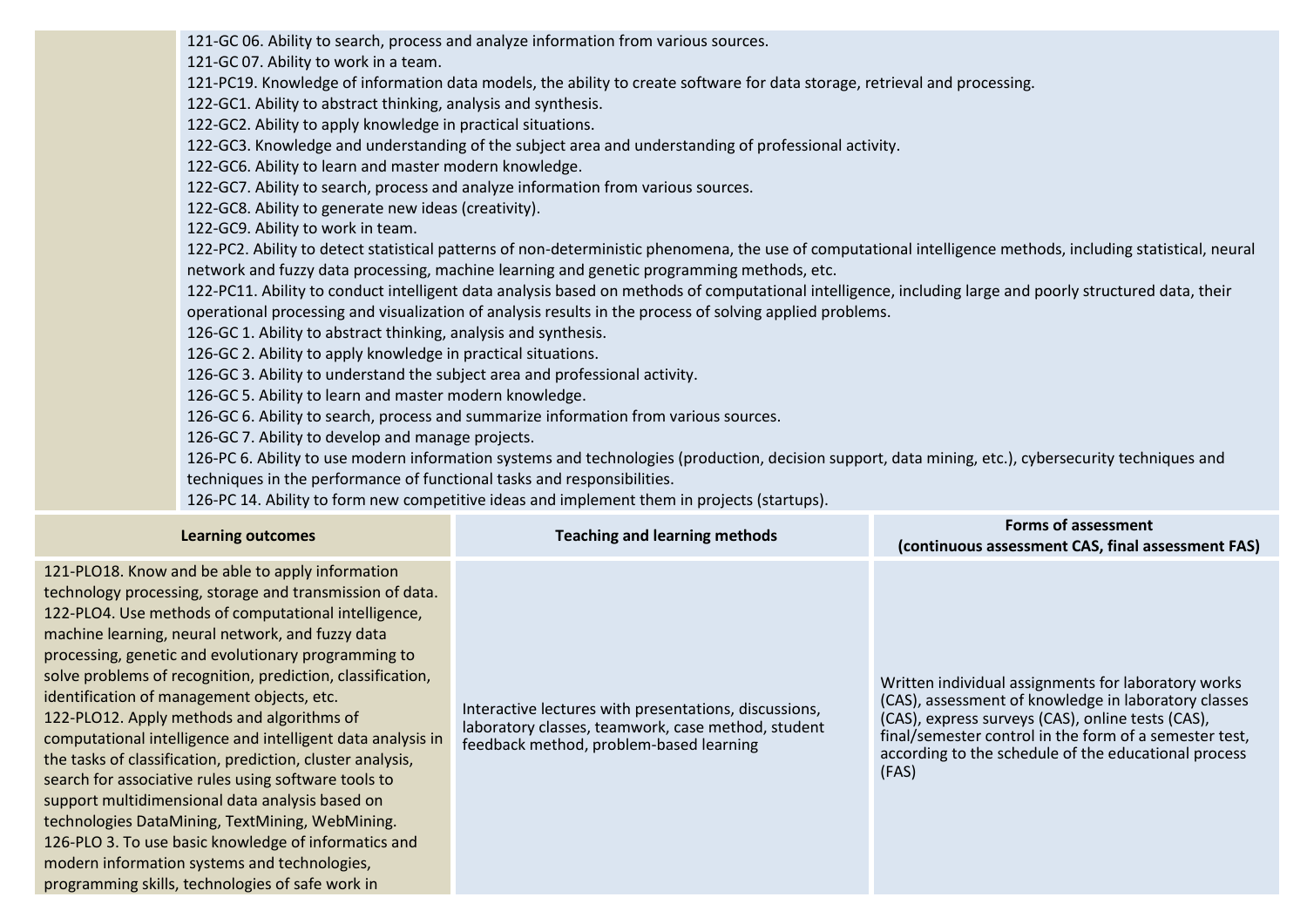121-GC 06. Ability to search, process and analyze information from various sources.

121-GC 07. Ability to work in a team.

121-PC19. Knowledge of information data models, the ability to create software for data storage, retrieval and processing.

122-GC1. Ability to abstract thinking, analysis and synthesis.

122-GC2. Ability to apply knowledge in practical situations.

122-GC3. Knowledge and understanding of the subject area and understanding of professional activity.

122-GC6. Ability to learn and master modern knowledge.

122-GC7. Ability to search, process and analyze information from various sources.

122-GC8. Ability to generate new ideas (creativity).

122-GC9. Ability to work in team.

122-PC2. Ability to detect statistical patterns of non-deterministic phenomena, the use of computational intelligence methods, including statistical, neural network and fuzzy data processing, machine learning and genetic programming methods, etc.

122-PC11. Ability to conduct intelligent data analysis based on methods of computational intelligence, including large and poorly structured data, their operational processing and visualization of analysis results in the process of solving applied problems.

126-GC 1. Ability to abstract thinking, analysis and synthesis.

126-GC 2. Ability to apply knowledge in practical situations.

126-GC 3. Ability to understand the subject area and professional activity.

126-GC 5. Ability to learn and master modern knowledge.

126-GC 6. Ability to search, process and summarize information from various sources.

126-GC 7. Ability to develop and manage projects.

126-PC 6. Ability to use modern information systems and technologies (production, decision support, data mining, etc.), cybersecurity techniques and techniques in the performance of functional tasks and responsibilities.

126-PC 14. Ability to form new competitive ideas and implement them in projects (startups).

| <b>Learning outcomes</b>                                                                                                                                                                                                                                                                                                                                                                                                                                                                                                                                                                                                                                                                                                                                                                                                                                                                         | <b>Teaching and learning methods</b>                                                                                                                   | Forms of assessment<br>(continuous assessment CAS, final assessment FAS)                                                                                                                                                                                                                    |
|--------------------------------------------------------------------------------------------------------------------------------------------------------------------------------------------------------------------------------------------------------------------------------------------------------------------------------------------------------------------------------------------------------------------------------------------------------------------------------------------------------------------------------------------------------------------------------------------------------------------------------------------------------------------------------------------------------------------------------------------------------------------------------------------------------------------------------------------------------------------------------------------------|--------------------------------------------------------------------------------------------------------------------------------------------------------|---------------------------------------------------------------------------------------------------------------------------------------------------------------------------------------------------------------------------------------------------------------------------------------------|
| 121-PLO18. Know and be able to apply information<br>technology processing, storage and transmission of data.<br>122-PLO4. Use methods of computational intelligence,<br>machine learning, neural network, and fuzzy data<br>processing, genetic and evolutionary programming to<br>solve problems of recognition, prediction, classification,<br>identification of management objects, etc.<br>122-PLO12. Apply methods and algorithms of<br>computational intelligence and intelligent data analysis in<br>the tasks of classification, prediction, cluster analysis,<br>search for associative rules using software tools to<br>support multidimensional data analysis based on<br>technologies DataMining, TextMining, WebMining.<br>126-PLO 3. To use basic knowledge of informatics and<br>modern information systems and technologies,<br>programming skills, technologies of safe work in | Interactive lectures with presentations, discussions,<br>laboratory classes, teamwork, case method, student<br>feedback method, problem-based learning | Written individual assignments for laboratory works<br>(CAS), assessment of knowledge in laboratory classes<br>(CAS), express surveys (CAS), online tests (CAS),<br>final/semester control in the form of a semester test,<br>according to the schedule of the educational process<br>(FAS) |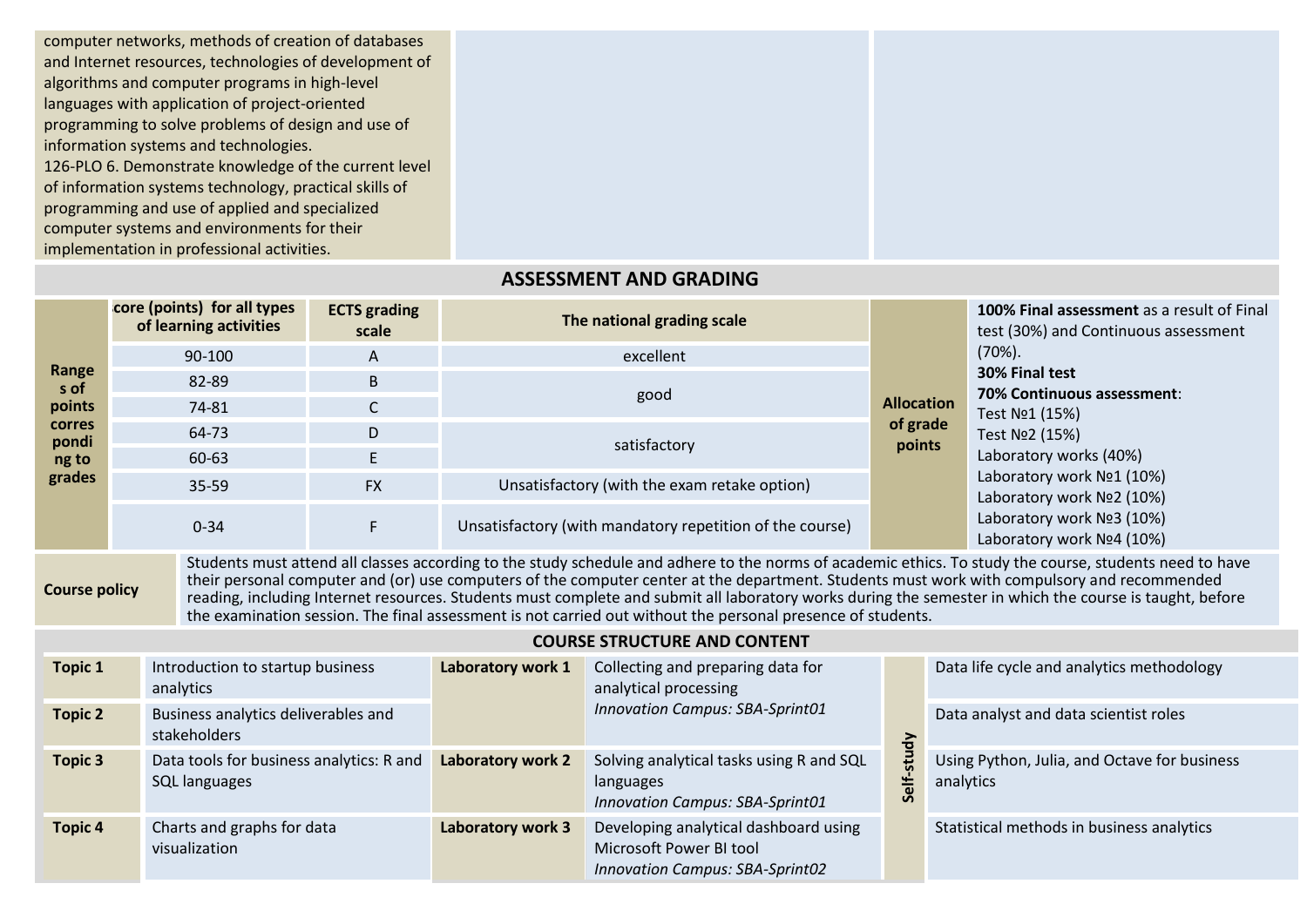computer networks, methods of creation of databases and Internet resources, technologies of development of algorithms and computer programs in high-level languages with application of project-oriented programming to solve problems of design and use of information systems and technologies. 126-PLO 6. Demonstrate knowledge of the current level of information systems technology, practical skills of programming and use of applied and specialized computer systems and environments for their implementation in professional activities.

## **ASSESSMENT AND GRADING**

|                                           | core (points) for all types<br>of learning activities | <b>ECTS</b> grading<br>scale | The national grading scale                               |                    | <b>100% Final assessment</b> as a result of Final<br>test (30%) and Continuous assessment                                                   |  |  |
|-------------------------------------------|-------------------------------------------------------|------------------------------|----------------------------------------------------------|--------------------|---------------------------------------------------------------------------------------------------------------------------------------------|--|--|
|                                           | 90-100                                                | A                            | excellent                                                |                    | $(70\%)$ .                                                                                                                                  |  |  |
| Range<br>s of                             | 82-89                                                 | B                            |                                                          |                    | 30% Final test                                                                                                                              |  |  |
| points                                    | 74-81                                                 |                              | good                                                     | <b>Allocation</b>  | <b>70% Continuous assessment:</b><br>Test No1 (15%)                                                                                         |  |  |
| <b>corres</b><br>pondi<br>ng to<br>grades | 64-73                                                 | D                            |                                                          | of grade<br>points | Test No <sub>2</sub> (15%)<br>Laboratory works (40%)<br>Laboratory work Nº1 (10%)<br>Laboratory work Nº2 (10%)<br>Laboratory work Nº3 (10%) |  |  |
|                                           | 60-63                                                 |                              | satisfactory                                             |                    |                                                                                                                                             |  |  |
|                                           | 35-59                                                 | <b>FX</b>                    | Unsatisfactory (with the exam retake option)             |                    |                                                                                                                                             |  |  |
|                                           | $0 - 34$                                              | F.                           | Unsatisfactory (with mandatory repetition of the course) |                    |                                                                                                                                             |  |  |
|                                           |                                                       |                              |                                                          |                    | Laboratory work Nº4 (10%)                                                                                                                   |  |  |

**Course policy**

Students must attend all classes according to the study schedule and adhere to the norms of academic ethics. To study the course, students need to have their personal computer and (or) use computers of the computer center at the department. Students must work with compulsory and recommended reading, including Internet resources. Students must complete and submit all laboratory works during the semester in which the course is taught, before the examination session. The final assessment is not carried out without the personal presence of students.

| <b>Topic 1</b> | Introduction to startup business<br>analytics             | Laboratory work 1 | Collecting and preparing data for<br>analytical processing                                                 |                              | Data life cycle and analytics methodology                 |  |  |
|----------------|-----------------------------------------------------------|-------------------|------------------------------------------------------------------------------------------------------------|------------------------------|-----------------------------------------------------------|--|--|
| <b>Topic 2</b> | Business analytics deliverables and<br>stakeholders       |                   | <b>Innovation Campus: SBA-Sprint01</b>                                                                     |                              | Data analyst and data scientist roles                     |  |  |
| <b>Topic 3</b> | Data tools for business analytics: R and<br>SQL languages | Laboratory work 2 | Solving analytical tasks using R and SQL<br>languages<br>Innovation Campus: SBA-Sprint01                   | 승<br>$\overline{5}$<br>Self- | Using Python, Julia, and Octave for business<br>analytics |  |  |
| <b>Topic 4</b> | Charts and graphs for data<br>visualization               | Laboratory work 3 | Developing analytical dashboard using<br>Microsoft Power BI tool<br><b>Innovation Campus: SBA-Sprint02</b> |                              | Statistical methods in business analytics                 |  |  |

**COURSE STRUCTURE AND CONTENT**